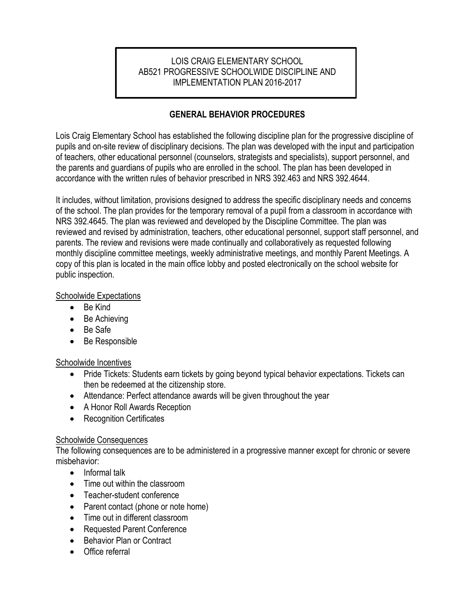### LOIS CRAIG ELEMENTARY SCHOOL AB521 PROGRESSIVE SCHOOLWIDE DISCIPLINE AND IMPLEMENTATION PLAN 2016-2017

## **GENERAL BEHAVIOR PROCEDURES**

Lois Craig Elementary School has established the following discipline plan for the progressive discipline of pupils and on-site review of disciplinary decisions. The plan was developed with the input and participation of teachers, other educational personnel (counselors, strategists and specialists), support personnel, and the parents and guardians of pupils who are enrolled in the school. The plan has been developed in accordance with the written rules of behavior prescribed in NRS 392.463 and NRS 392.4644.

It includes, without limitation, provisions designed to address the specific disciplinary needs and concerns of the school. The plan provides for the temporary removal of a pupil from a classroom in accordance with NRS 392.4645. The plan was reviewed and developed by the Discipline Committee. The plan was reviewed and revised by administration, teachers, other educational personnel, support staff personnel, and parents. The review and revisions were made continually and collaboratively as requested following monthly discipline committee meetings, weekly administrative meetings, and monthly Parent Meetings. A copy of this plan is located in the main office lobby and posted electronically on the school website for public inspection.

#### Schoolwide Expectations

- Be Kind
- Be Achieving
- Be Safe
- Be Responsible

#### Schoolwide Incentives

- Pride Tickets: Students earn tickets by going beyond typical behavior expectations. Tickets can then be redeemed at the citizenship store.
- Attendance: Perfect attendance awards will be given throughout the year
- A Honor Roll Awards Reception
- Recognition Certificates

#### **Schoolwide Consequences**

The following consequences are to be administered in a progressive manner except for chronic or severe misbehavior:

- Informal talk
- Time out within the classroom
- Teacher-student conference
- Parent contact (phone or note home)
- Time out in different classroom
- Requested Parent Conference
- Behavior Plan or Contract
- Office referral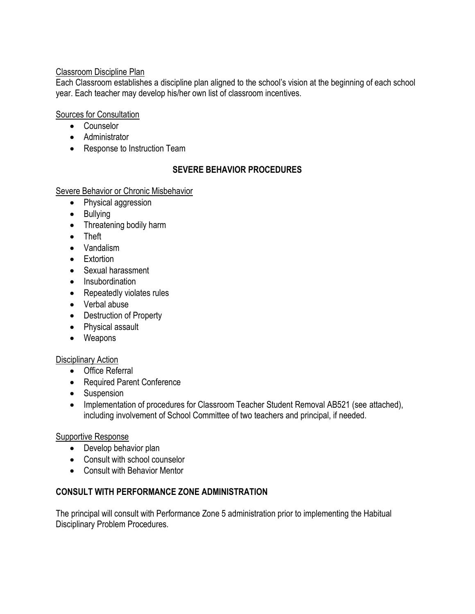### Classroom Discipline Plan

Each Classroom establishes a discipline plan aligned to the school's vision at the beginning of each school year. Each teacher may develop his/her own list of classroom incentives.

### Sources for Consultation

- Counselor
- Administrator
- Response to Instruction Team

## **SEVERE BEHAVIOR PROCEDURES**

#### Severe Behavior or Chronic Misbehavior

- Physical aggression
- Bullying
- Threatening bodily harm
- Theft
- Vandalism
- Extortion
- Sexual harassment
- Insubordination
- Repeatedly violates rules
- Verbal abuse
- Destruction of Property
- Physical assault
- Weapons

#### Disciplinary Action

- Office Referral
- Required Parent Conference
- Suspension
- Implementation of procedures for Classroom Teacher Student Removal AB521 (see attached), including involvement of School Committee of two teachers and principal, if needed.

#### Supportive Response

- Develop behavior plan
- Consult with school counselor
- Consult with Behavior Mentor

## **CONSULT WITH PERFORMANCE ZONE ADMINISTRATION**

The principal will consult with Performance Zone 5 administration prior to implementing the Habitual Disciplinary Problem Procedures.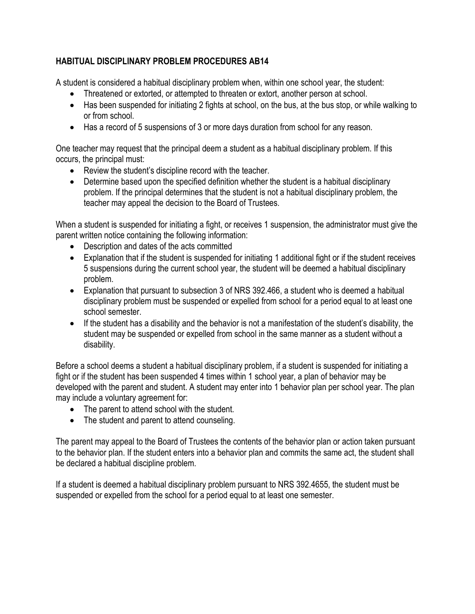## **HABITUAL DISCIPLINARY PROBLEM PROCEDURES AB14**

A student is considered a habitual disciplinary problem when, within one school year, the student:

- Threatened or extorted, or attempted to threaten or extort, another person at school.
- Has been suspended for initiating 2 fights at school, on the bus, at the bus stop, or while walking to or from school.
- Has a record of 5 suspensions of 3 or more days duration from school for any reason.

One teacher may request that the principal deem a student as a habitual disciplinary problem. If this occurs, the principal must:

- Review the student's discipline record with the teacher.
- Determine based upon the specified definition whether the student is a habitual disciplinary problem. If the principal determines that the student is not a habitual disciplinary problem, the teacher may appeal the decision to the Board of Trustees.

When a student is suspended for initiating a fight, or receives 1 suspension, the administrator must give the parent written notice containing the following information:

- Description and dates of the acts committed
- Explanation that if the student is suspended for initiating 1 additional fight or if the student receives 5 suspensions during the current school year, the student will be deemed a habitual disciplinary problem.
- Explanation that pursuant to subsection 3 of NRS 392.466, a student who is deemed a habitual disciplinary problem must be suspended or expelled from school for a period equal to at least one school semester.
- If the student has a disability and the behavior is not a manifestation of the student's disability, the student may be suspended or expelled from school in the same manner as a student without a disability.

Before a school deems a student a habitual disciplinary problem, if a student is suspended for initiating a fight or if the student has been suspended 4 times within 1 school year, a plan of behavior may be developed with the parent and student. A student may enter into 1 behavior plan per school year. The plan may include a voluntary agreement for:

- The parent to attend school with the student.
- The student and parent to attend counseling.

The parent may appeal to the Board of Trustees the contents of the behavior plan or action taken pursuant to the behavior plan. If the student enters into a behavior plan and commits the same act, the student shall be declared a habitual discipline problem.

If a student is deemed a habitual disciplinary problem pursuant to NRS 392.4655, the student must be suspended or expelled from the school for a period equal to at least one semester.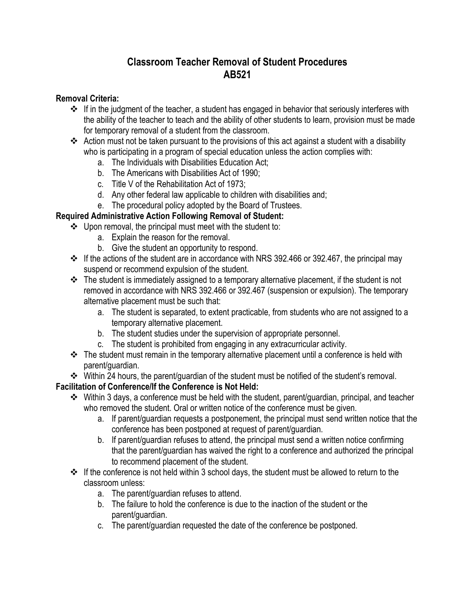# **Classroom Teacher Removal of Student Procedures AB521**

### **Removal Criteria:**

- $\cdot$  If in the judgment of the teacher, a student has engaged in behavior that seriously interferes with the ability of the teacher to teach and the ability of other students to learn, provision must be made for temporary removal of a student from the classroom.
- Action must not be taken pursuant to the provisions of this act against a student with a disability who is participating in a program of special education unless the action complies with:
	- a. The Individuals with Disabilities Education Act;
	- b. The Americans with Disabilities Act of 1990;
	- c. Title V of the Rehabilitation Act of 1973;
	- d. Any other federal law applicable to children with disabilities and;
	- e. The procedural policy adopted by the Board of Trustees.

## **Required Administrative Action Following Removal of Student:**

- Upon removal, the principal must meet with the student to:
	- a. Explain the reason for the removal.
	- b. Give the student an opportunity to respond.
- $\cdot$  If the actions of the student are in accordance with NRS 392.466 or 392.467, the principal may suspend or recommend expulsion of the student.
- $\div$  The student is immediately assigned to a temporary alternative placement, if the student is not removed in accordance with NRS 392.466 or 392.467 (suspension or expulsion). The temporary alternative placement must be such that:
	- a. The student is separated, to extent practicable, from students who are not assigned to a temporary alternative placement.
	- b. The student studies under the supervision of appropriate personnel.
	- c. The student is prohibited from engaging in any extracurricular activity.
- $\cdot \cdot$  The student must remain in the temporary alternative placement until a conference is held with parent/guardian.
- Within 24 hours, the parent/guardian of the student must be notified of the student's removal.

## **Facilitation of Conference/If the Conference is Not Held:**

- Within 3 days, a conference must be held with the student, parent/guardian, principal, and teacher who removed the student. Oral or written notice of the conference must be given.
	- a. If parent/guardian requests a postponement, the principal must send written notice that the conference has been postponed at request of parent/guardian.
	- b. If parent/guardian refuses to attend, the principal must send a written notice confirming that the parent/guardian has waived the right to a conference and authorized the principal to recommend placement of the student.
- $\div$  If the conference is not held within 3 school days, the student must be allowed to return to the classroom unless:
	- a. The parent/guardian refuses to attend.
	- b. The failure to hold the conference is due to the inaction of the student or the parent/guardian.
	- c. The parent/guardian requested the date of the conference be postponed.